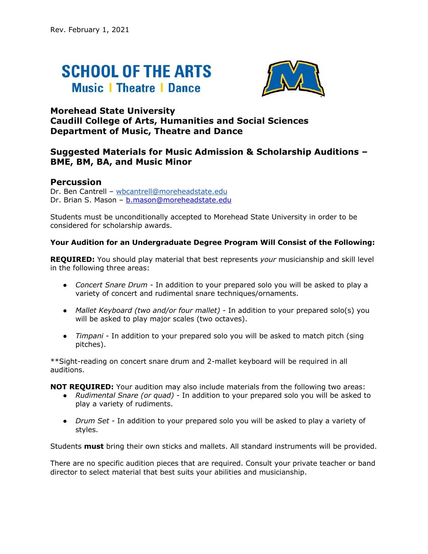# **SCHOOL OF THE ARTS Music | Theatre | Dance**



### **Morehead State University Caudill College of Arts, Humanities and Social Sciences Department of Music, Theatre and Dance**

## **Suggested Materials for Music Admission & Scholarship Auditions – BME, BM, BA, and Music Minor**

### **Percussion**

Dr. Ben Cantrell – wbcantrell@moreheadstate.edu Dr. Brian S. Mason – b.mason@moreheadstate.edu

Students must be unconditionally accepted to Morehead State University in order to be considered for scholarship awards.

#### **Your Audition for an Undergraduate Degree Program Will Consist of the Following:**

**REQUIRED:** You should play material that best represents *your* musicianship and skill level in the following three areas:

- *Concert Snare Drum* In addition to your prepared solo you will be asked to play a variety of concert and rudimental snare techniques/ornaments.
- *Mallet Keyboard (two and/or four mallet)* In addition to your prepared solo(s) you will be asked to play major scales (two octaves).
- *Timpani*  In addition to your prepared solo you will be asked to match pitch (sing pitches).

\*\*Sight-reading on concert snare drum and 2-mallet keyboard will be required in all auditions.

**NOT REQUIRED:** Your audition may also include materials from the following two areas:

- *Rudimental Snare (or quad)* In addition to your prepared solo you will be asked to play a variety of rudiments.
- *Drum Set* In addition to your prepared solo you will be asked to play a variety of styles.

Students **must** bring their own sticks and mallets. All standard instruments will be provided.

There are no specific audition pieces that are required. Consult your private teacher or band director to select material that best suits your abilities and musicianship.